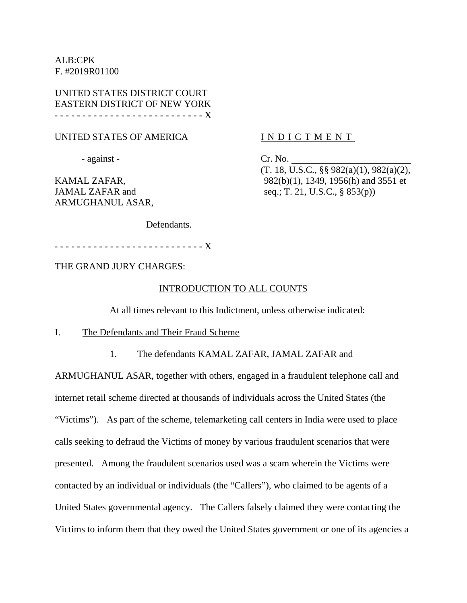ALB:CPK F. #2019R01100

UNITED STATES DISTRICT COURT EASTERN DISTRICT OF NEW YORK - - - - - - - - - - - - - - - - - - - - - - - - - - - X

UNITED STATES OF AMERICA

- against -

KAMAL ZAFAR, JAMAL ZAFAR and ARMUGHANUL ASAR,

### INDICTMENT

Cr. No.

(T. 18, U.S.C., §§ 982(a)(1), 982(a)(2), 982(b)(1), 1349, 1956(h) and 3551 et seq.; T. 21, U.S.C., § 853(p))

Defendants.

- - - - - - - - - - - - - - - - - - - - - - - - - - - X

THE GRAND JURY CHARGES:

### INTRODUCTION TO ALL COUNTS

At all times relevant to this Indictment, unless otherwise indicated:

I. The Defendants and Their Fraud Scheme

1. The defendants KAMAL ZAFAR, JAMAL ZAFAR and

ARMUGHANUL ASAR, together with others, engaged in a fraudulent telephone call and internet retail scheme directed at thousands of individuals across the United States (the "Victims"). As part of the scheme, telemarketing call centers in India were used to place calls seeking to defraud the Victims of money by various fraudulent scenarios that were presented. Among the fraudulent scenarios used was a scam wherein the Victims were contacted by an individual or individuals (the "Callers"), who claimed to be agents of a United States governmental agency. The Callers falsely claimed they were contacting the Victims to inform them that they owed the United States government or one of its agencies a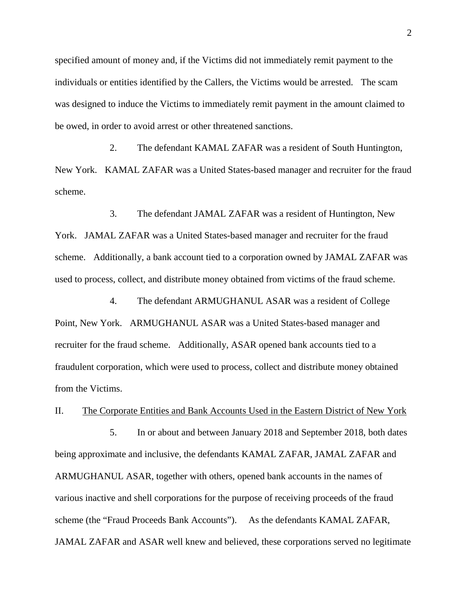specified amount of money and, if the Victims did not immediately remit payment to the individuals or entities identified by the Callers, the Victims would be arrested. The scam was designed to induce the Victims to immediately remit payment in the amount claimed to be owed, in order to avoid arrest or other threatened sanctions.

2. The defendant KAMAL ZAFAR was a resident of South Huntington, New York. KAMAL ZAFAR was a United States-based manager and recruiter for the fraud scheme.

3. The defendant JAMAL ZAFAR was a resident of Huntington, New York. JAMAL ZAFAR was a United States-based manager and recruiter for the fraud scheme. Additionally, a bank account tied to a corporation owned by JAMAL ZAFAR was used to process, collect, and distribute money obtained from victims of the fraud scheme.

4. The defendant ARMUGHANUL ASAR was a resident of College Point, New York. ARMUGHANUL ASAR was a United States-based manager and recruiter for the fraud scheme. Additionally, ASAR opened bank accounts tied to a fraudulent corporation, which were used to process, collect and distribute money obtained from the Victims.

II. The Corporate Entities and Bank Accounts Used in the Eastern District of New York

5. In or about and between January 2018 and September 2018, both dates being approximate and inclusive, the defendants KAMAL ZAFAR, JAMAL ZAFAR and ARMUGHANUL ASAR, together with others, opened bank accounts in the names of various inactive and shell corporations for the purpose of receiving proceeds of the fraud scheme (the "Fraud Proceeds Bank Accounts"). As the defendants KAMAL ZAFAR, JAMAL ZAFAR and ASAR well knew and believed, these corporations served no legitimate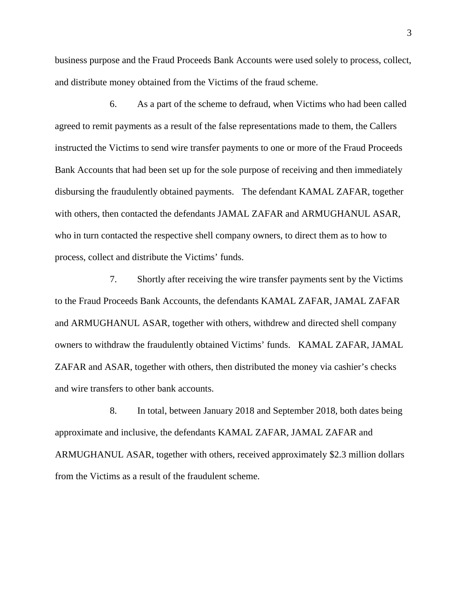business purpose and the Fraud Proceeds Bank Accounts were used solely to process, collect, and distribute money obtained from the Victims of the fraud scheme.

6. As a part of the scheme to defraud, when Victims who had been called agreed to remit payments as a result of the false representations made to them, the Callers instructed the Victims to send wire transfer payments to one or more of the Fraud Proceeds Bank Accounts that had been set up for the sole purpose of receiving and then immediately disbursing the fraudulently obtained payments. The defendant KAMAL ZAFAR, together with others, then contacted the defendants JAMAL ZAFAR and ARMUGHANUL ASAR, who in turn contacted the respective shell company owners, to direct them as to how to process, collect and distribute the Victims' funds.

7. Shortly after receiving the wire transfer payments sent by the Victims to the Fraud Proceeds Bank Accounts, the defendants KAMAL ZAFAR, JAMAL ZAFAR and ARMUGHANUL ASAR, together with others, withdrew and directed shell company owners to withdraw the fraudulently obtained Victims' funds. KAMAL ZAFAR, JAMAL ZAFAR and ASAR, together with others, then distributed the money via cashier's checks and wire transfers to other bank accounts.

8. In total, between January 2018 and September 2018, both dates being approximate and inclusive, the defendants KAMAL ZAFAR, JAMAL ZAFAR and ARMUGHANUL ASAR, together with others, received approximately \$2.3 million dollars from the Victims as a result of the fraudulent scheme.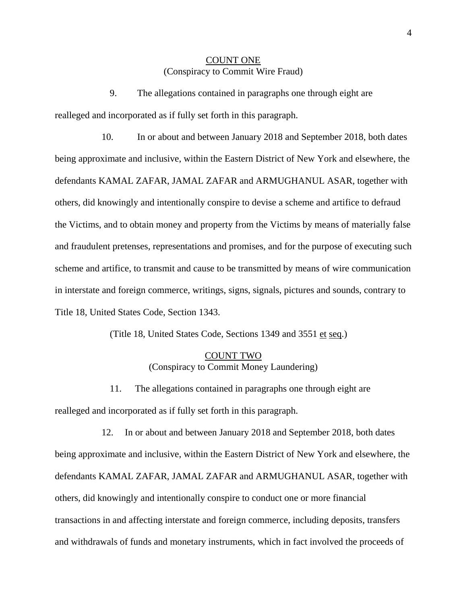### COUNT ONE (Conspiracy to Commit Wire Fraud)

9. The allegations contained in paragraphs one through eight are realleged and incorporated as if fully set forth in this paragraph.

 10. In or about and between January 2018 and September 2018, both dates being approximate and inclusive, within the Eastern District of New York and elsewhere, the defendants KAMAL ZAFAR, JAMAL ZAFAR and ARMUGHANUL ASAR, together with others, did knowingly and intentionally conspire to devise a scheme and artifice to defraud the Victims, and to obtain money and property from the Victims by means of materially false and fraudulent pretenses, representations and promises, and for the purpose of executing such scheme and artifice, to transmit and cause to be transmitted by means of wire communication in interstate and foreign commerce, writings, signs, signals, pictures and sounds, contrary to Title 18, United States Code, Section 1343.

(Title 18, United States Code, Sections 1349 and 3551 et seq.)

### COUNT TWO (Conspiracy to Commit Money Laundering)

11. The allegations contained in paragraphs one through eight are realleged and incorporated as if fully set forth in this paragraph.

 12. In or about and between January 2018 and September 2018, both dates being approximate and inclusive, within the Eastern District of New York and elsewhere, the defendants KAMAL ZAFAR, JAMAL ZAFAR and ARMUGHANUL ASAR, together with others, did knowingly and intentionally conspire to conduct one or more financial transactions in and affecting interstate and foreign commerce, including deposits, transfers and withdrawals of funds and monetary instruments, which in fact involved the proceeds of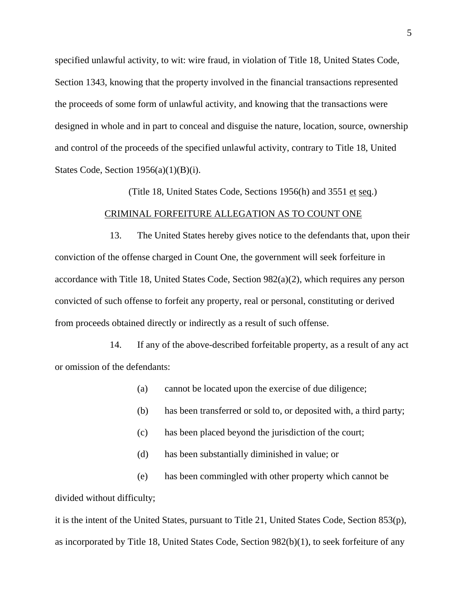specified unlawful activity, to wit: wire fraud, in violation of Title 18, United States Code, Section 1343, knowing that the property involved in the financial transactions represented the proceeds of some form of unlawful activity, and knowing that the transactions were designed in whole and in part to conceal and disguise the nature, location, source, ownership and control of the proceeds of the specified unlawful activity, contrary to Title 18, United States Code, Section  $1956(a)(1)(B)(i)$ .

# CRIMINAL FORFEITURE ALLEGATION AS TO COUNT ONE

(Title 18, United States Code, Sections 1956(h) and 3551 et seq.)

13. The United States hereby gives notice to the defendants that, upon their conviction of the offense charged in Count One, the government will seek forfeiture in accordance with Title 18, United States Code, Section 982(a)(2), which requires any person convicted of such offense to forfeit any property, real or personal, constituting or derived from proceeds obtained directly or indirectly as a result of such offense.

14. If any of the above-described forfeitable property, as a result of any act or omission of the defendants:

(a) cannot be located upon the exercise of due diligence;

- (b) has been transferred or sold to, or deposited with, a third party;
- (c) has been placed beyond the jurisdiction of the court;
- (d) has been substantially diminished in value; or

(e) has been commingled with other property which cannot be divided without difficulty;

it is the intent of the United States, pursuant to Title 21, United States Code, Section 853(p), as incorporated by Title 18, United States Code, Section 982(b)(1), to seek forfeiture of any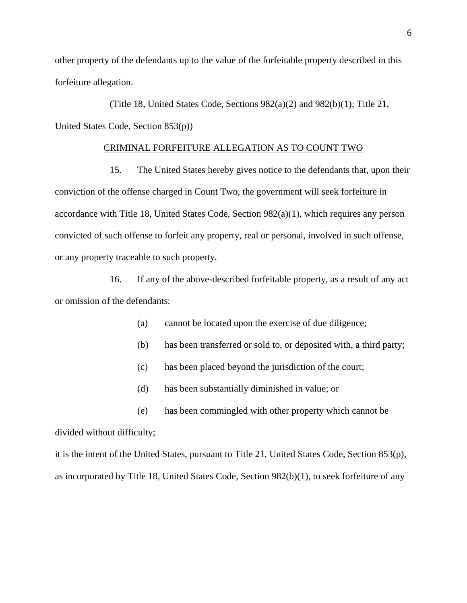other property of the defendants up to the value of the forfeitable property described in this forfeiture allegation.

(Title 18, United States Code, Sections 982(a)(2) and 982(b)(1); Title 21, United States Code, Section 853(p))

### CRIMINAL FORFEITURE ALLEGATION AS TO COUNT TWO

15. The United States hereby gives notice to the defendants that, upon their conviction of the offense charged in Count Two, the government will seek forfeiture in accordance with Title 18, United States Code, Section 982(a)(1), which requires any person convicted of such offense to forfeit any property, real or personal, involved in such offense, or any property traceable to such property.

16. If any of the above-described forfeitable property, as a result of any act or omission of the defendants:

- (a) cannot be located upon the exercise of due diligence;
- (b) has been transferred or sold to, or deposited with, a third party;
- (c) has been placed beyond the jurisdiction of the court;
- (d) has been substantially diminished in value; or
- (e) has been commingled with other property which cannot be

divided without difficulty;

it is the intent of the United States, pursuant to Title 21, United States Code, Section 853(p), as incorporated by Title 18, United States Code, Section 982(b)(1), to seek forfeiture of any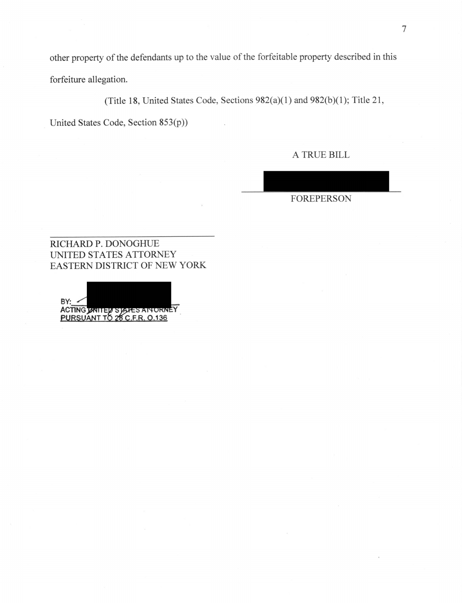other property of the defendants up to the value of the forfeitable property described in this forfeiture allegation.

(Title 18, United States Code, Sections  $982(a)(1)$  and  $982(b)(1)$ ; Title 21,

United States Code, Section 853(p))

A TRUE BILL

FOREPERSON

RICHARD P. DONOGHUE UNITED STATES ATTORNEY EASTERN DISTRICT OF NEW YORK

**BY: ACTING**  <u>PURSUANT TO 28 C.F.R. 0.13</u>